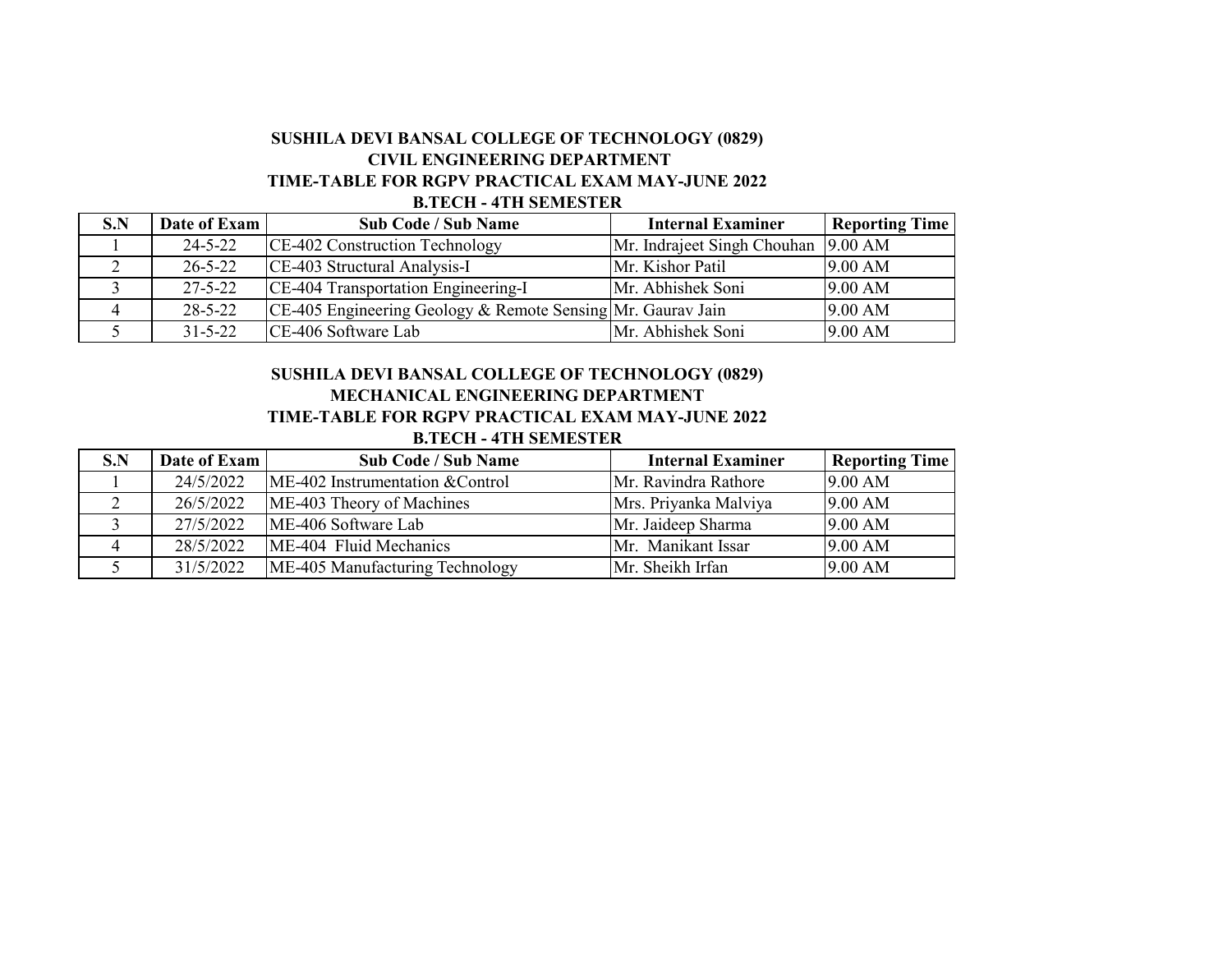### **SUSHILA DEVI BANSAL COLLEGE OF TECHNOLOGY (0829) B.TECH - 4TH SEMESTER TIME-TABLE FOR RGPV PRACTICAL EXAM MAY-JUNE 2022 CIVIL ENGINEERING DEPARTMENT**

| S.N | Date of Exam  | <b>Sub Code / Sub Name</b>                                  | <b>Internal Examiner</b>            | <b>Reporting Time</b> |
|-----|---------------|-------------------------------------------------------------|-------------------------------------|-----------------------|
|     | $24 - 5 - 22$ | CE-402 Construction Technology                              | Mr. Indraject Singh Chouhan 9.00 AM |                       |
|     | $26 - 5 - 22$ | CE-403 Structural Analysis-I                                | Mr. Kishor Patil                    | 9.00 AM               |
|     | $27 - 5 - 22$ | CE-404 Transportation Engineering-I                         | Mr. Abhishek Soni                   | 9.00 AM               |
|     | $28 - 5 - 22$ | CE-405 Engineering Geology & Remote Sensing Mr. Gaurav Jain |                                     | 9.00 AM               |
|     | $31 - 5 - 22$ | CE-406 Software Lab                                         | Mr. Abhishek Soni                   | 9.00 AM               |

### **TIME-TABLE FOR RGPV PRACTICAL EXAM MAY-JUNE 2022 B.TECH - 4TH SEMESTER SUSHILA DEVI BANSAL COLLEGE OF TECHNOLOGY (0829) MECHANICAL ENGINEERING DEPARTMENT**

| S.N | Date of Exam | <b>Sub Code / Sub Name</b>       | <b>Internal Examiner</b> | <b>Reporting Time</b> |
|-----|--------------|----------------------------------|--------------------------|-----------------------|
|     | 24/5/2022    | ME-402 Instrumentation & Control | Mr. Ravindra Rathore     | 9.00 AM               |
|     | 26/5/2022    | ME-403 Theory of Machines        | Mrs. Priyanka Malviya    | 9.00 AM               |
|     | 27/5/2022    | ME-406 Software Lab              | Mr. Jaideep Sharma       | 9.00 AM               |
|     | 28/5/2022    | ME-404 Fluid Mechanics           | Mr. Manikant Issar       | 9.00 AM               |
|     | 31/5/2022    | ME-405 Manufacturing Technology  | Mr. Sheikh Irfan         | 9.00 AM               |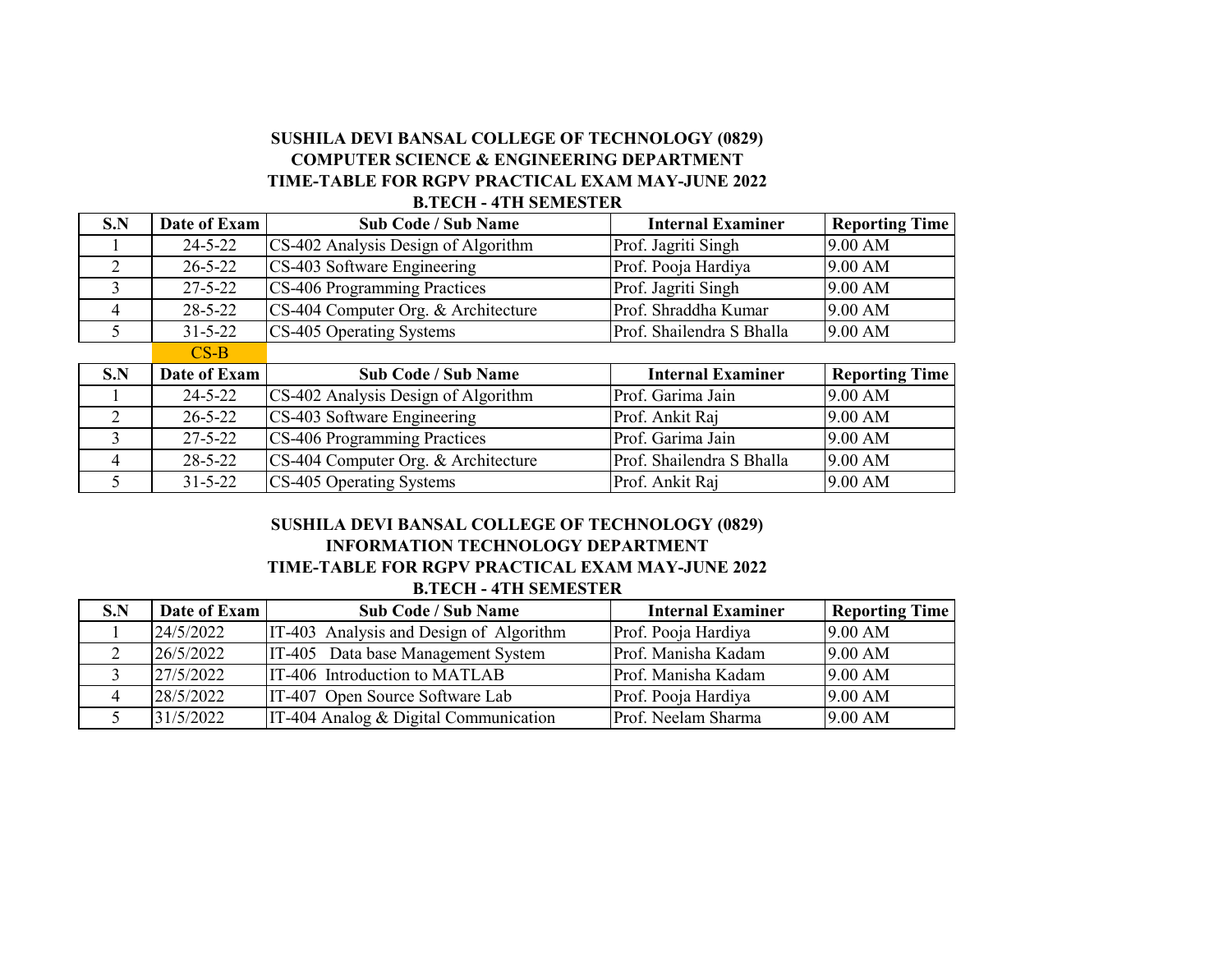## **COMPUTER SCIENCE & ENGINEERING DEPARTMENT SUSHILA DEVI BANSAL COLLEGE OF TECHNOLOGY (0829) TIME-TABLE FOR RGPV PRACTICAL EXAM MAY-JUNE 2022 B.TECH - 4TH SEMESTER**

| S.N           | Date of Exam  | <b>Sub Code / Sub Name</b>          | <b>Internal Examiner</b>  | <b>Reporting Time</b> |
|---------------|---------------|-------------------------------------|---------------------------|-----------------------|
|               | $24 - 5 - 22$ | CS-402 Analysis Design of Algorithm | Prof. Jagriti Singh       | 9.00 AM               |
|               | $26 - 5 - 22$ | CS-403 Software Engineering         | Prof. Pooja Hardiya       | 9.00 AM               |
| 3             | $27 - 5 - 22$ | CS-406 Programming Practices        | Prof. Jagriti Singh       | 9.00 AM               |
| 4             | $28 - 5 - 22$ | CS-404 Computer Org. & Architecture | Prof. Shraddha Kumar      | 9.00 AM               |
|               | $31 - 5 - 22$ | CS-405 Operating Systems            | Prof. Shailendra S Bhalla | 9.00 AM               |
|               | $CS-B$        |                                     |                           |                       |
| S.N           | Date of Exam  | <b>Sub Code / Sub Name</b>          | <b>Internal Examiner</b>  | <b>Reporting Time</b> |
|               | $24 - 5 - 22$ | CS-402 Analysis Design of Algorithm | Prof. Garima Jain         | 9.00 AM               |
| $\mathcal{D}$ | $26 - 5 - 22$ | CS-403 Software Engineering         | Prof. Ankit Raj           | 9.00 AM               |
| 3             | $27 - 5 - 22$ | CS-406 Programming Practices        | Prof. Garima Jain         | 9.00 AM               |
| 4             | $28 - 5 - 22$ | CS-404 Computer Org. & Architecture | Prof. Shailendra S Bhalla | 9.00 AM               |
|               | $31 - 5 - 22$ | CS-405 Operating Systems            | Prof. Ankit Raj           | 9.00 AM               |

### **B.TECH - 4TH SEMESTER TIME-TABLE FOR RGPV PRACTICAL EXAM MAY-JUNE 2022 INFORMATION TECHNOLOGY DEPARTMENT SUSHILA DEVI BANSAL COLLEGE OF TECHNOLOGY (0829)**

| S.N | Date of Exam | <b>Sub Code / Sub Name</b>              | <b>Internal Examiner</b> | <b>Reporting Time</b> |
|-----|--------------|-----------------------------------------|--------------------------|-----------------------|
|     | 24/5/2022    | IT-403 Analysis and Design of Algorithm | Prof. Pooja Hardiya      | 9.00 AM               |
|     | 26/5/2022    | IT-405 Data base Management System      | Prof. Manisha Kadam      | 9.00 AM               |
|     | 27/5/2022    | IT-406 Introduction to MATLAB           | Prof. Manisha Kadam      | 9.00 AM               |
|     | 28/5/2022    | IT-407 Open Source Software Lab         | Prof. Pooja Hardiya      | 9.00 AM               |
|     | 31/5/2022    | IT-404 Analog & Digital Communication   | Prof. Neelam Sharma      | 9.00 AM               |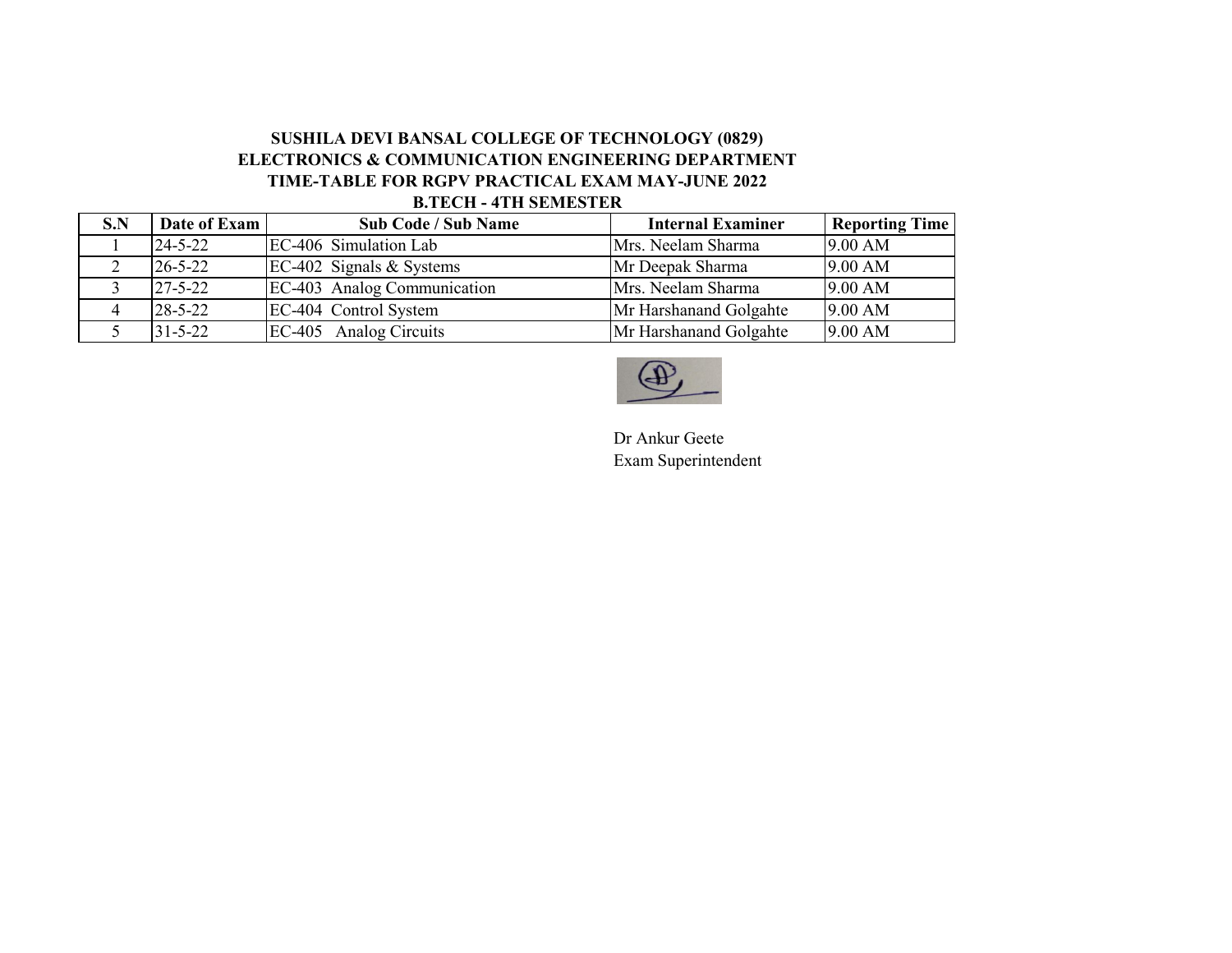## **ELECTRONICS & COMMUNICATION ENGINEERING DEPARTMENT SUSHILA DEVI BANSAL COLLEGE OF TECHNOLOGY (0829) TIME-TABLE FOR RGPV PRACTICAL EXAM MAY-JUNE 2022 B.TECH - 4TH SEMESTER**

| S.N | Date of Exam  | <b>Sub Code / Sub Name</b>  | <b>Internal Examiner</b> | <b>Reporting Time</b> |
|-----|---------------|-----------------------------|--------------------------|-----------------------|
|     | $24 - 5 - 22$ | EC-406 Simulation Lab       | Mrs. Neelam Sharma       | 9.00 AM               |
|     | $26 - 5 - 22$ | EC-402 Signals $&$ Systems  | Mr Deepak Sharma         | 9.00 AM               |
|     | $27 - 5 - 22$ | EC-403 Analog Communication | Mrs. Neelam Sharma       | 9.00 AM               |
|     | $28 - 5 - 22$ | EC-404 Control System       | Mr Harshanand Golgahte   | 9.00 AM               |
|     | $31 - 5 - 22$ | EC-405 Analog Circuits      | Mr Harshanand Golgahte   | 9.00 AM               |



Dr Ankur Geete Exam Superintendent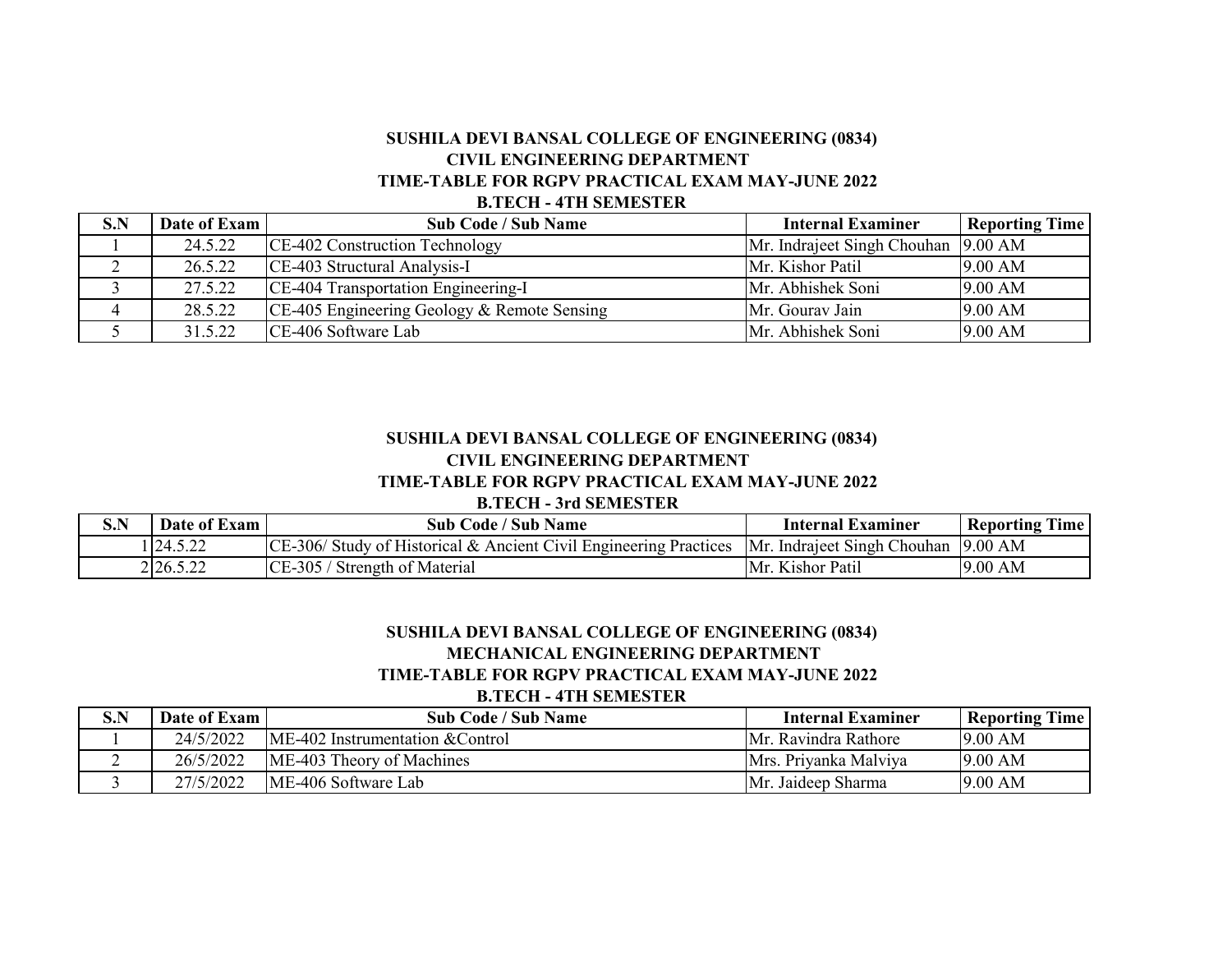## **SUSHILA DEVI BANSAL COLLEGE OF ENGINEERING (0834) CIVIL ENGINEERING DEPARTMENT TIME-TABLE FOR RGPV PRACTICAL EXAM MAY-JUNE 2022 B.TECH - 4TH SEMESTER**

| S.N | Date of Exam | <b>Sub Code / Sub Name</b>                  | <b>Internal Examiner</b>            | <b>Reporting Time</b> |
|-----|--------------|---------------------------------------------|-------------------------------------|-----------------------|
|     | 24.5.22      | CE-402 Construction Technology              | Mr. Indraject Singh Chouhan 9.00 AM |                       |
| ∠   | 26.5.22      | CE-403 Structural Analysis-I                | Mr. Kishor Patil                    | 9.00 AM               |
|     | 27.5.22      | CE-404 Transportation Engineering-I         | Mr. Abhishek Soni                   | 9.00 AM               |
|     | 28.5.22      | CE-405 Engineering Geology & Remote Sensing | Mr. Gourav Jain                     | 9.00 AM               |
|     | 31.5.22      | CE-406 Software Lab                         | Mr. Abhishek Soni                   | 9.00 AM               |

# **SUSHILA DEVI BANSAL COLLEGE OF ENGINEERING (0834) CIVIL ENGINEERING DEPARTMENT**

## **TIME-TABLE FOR RGPV PRACTICAL EXAM MAY-JUNE 2022**

#### **B.TECH - 3rd SEMESTER**

| S.N | Date of Exam | <b>Sub Code / Sub Name</b>                                                                                      | Internal Examiner | <b>Reporting Time</b> |
|-----|--------------|-----------------------------------------------------------------------------------------------------------------|-------------------|-----------------------|
|     | 1 24.5.22    | $\vert$ CE-306/ Study of Historical & Ancient Civil Engineering Practices  Mr. Indraject Singh Chouhan  9.00 AM |                   |                       |
|     | 2 2 6.5.22   | CE-305 / Strength of Material                                                                                   | Mr. Kishor Patil  | 9.00 AM               |

#### **SUSHILA DEVI BANSAL COLLEGE OF ENGINEERING (0834) MECHANICAL ENGINEERING DEPARTMENT TIME-TABLE FOR RGPV PRACTICAL EXAM MAY-JUNE 2022 B.TECH - 4TH SEMESTER**

| S.N | Date of Exam | <b>Sub Code / Sub Name</b>         | Internal Examiner            | <b>Reporting Time</b> |
|-----|--------------|------------------------------------|------------------------------|-----------------------|
|     | 24/5/2022    | $ME-402$ Instrumentation & Control | <b>IMr. Ravindra Rathore</b> | 9.00 AM               |
|     | 26/5/2022    | ME-403 Theory of Machines          | Mrs. Priyanka Malviya        | 9.00 AM               |
|     | 27/5/2022    | ME-406 Software Lab                | Mr. Jaideep Sharma           | 9.00 AM               |